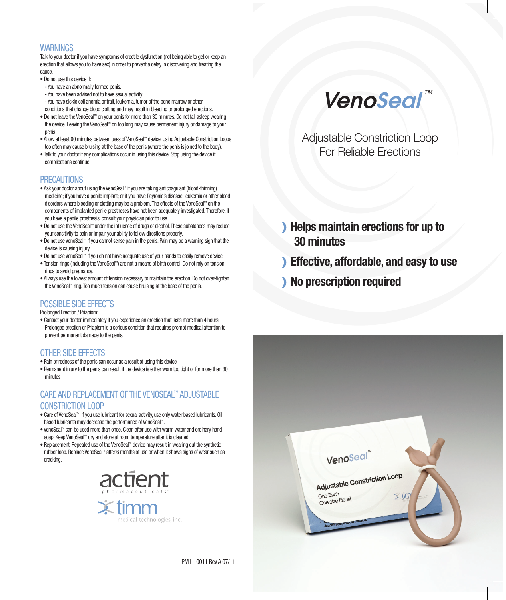#### WARNINGS

Talk to your doctor if you have symptoms of erectile dysfunction (not being able to get or keep an erection that allows you to have sex) in order to prevent a delay in discovering and treating the cause.

- Do not use this device if:
- You have an abnormally formed penis.
- You have been advised not to have sexual activity
- You have sickle cell anemia or trait, leukemia, tumor of the bone marrow or other conditions that change blood clotting and may result in bleeding or prolonged erections.
- Do not leave the VenoSeal™ on your penis for more than 30 minutes. Do not fall asleep wearing the device. Leaving the VenoSeal™ on too long may cause permanent injury or damage to your penis.
- Allow at least 60 minutes between uses of VenoSeal™ device. Using Adjustable Constriction Loops too often may cause bruising at the base of the penis (where the penis is joined to the body).
- Talk to your doctor if any complications occur in using this device. Stop using the device if complications continue.

# PRECAUTIONS

- Ask your doctor about using the VenoSeal™ if you are taking anticoagulant (blood-thinning) medicine; if you have a penile implant; or if you have Peyronie's disease, leukemia or other blood disorders where bleeding or clotting may be a problem. The effects of the VenoSeal™ on the components of implanted penile prostheses have not been adequately investigated. Therefore, if you have a penile prosthesis, consult your physician prior to use.
- Do not use the VenoSeal™ under the influence of drugs or alcohol. These substances may reduce your sensitivity to pain or impair your ability to follow directions properly.
- Do not use VenoSeal™ if you cannot sense pain in the penis. Pain may be a warning sign that the device is causing injury.
- Do not use VenoSeal™ if you do not have adequate use of your hands to easily remove device.
- Tension rings (including the VenoSeal™) are not a means of birth control. Do not rely on tension rings to avoid pregnancy.
- Always use the lowest amount of tension necessary to maintain the erection. Do not over-tighten the VenoSeal™ ring. Too much tension can cause bruising at the base of the penis.

#### POSSIBLE SIDE EFFECTS

Prolonged Erection / Priapism:

• Contact your doctor immediately if you experience an erection that lasts more than 4 hours. Prolonged erection or Priapism is a serious condition that requires prompt medical attention to prevent permanent damage to the penis.

# OTHER SIDE EFFECTS

- Pain or redness of the penis can occur as a result of using this device
- Permanent injury to the penis can result if the device is either worn too tight or for more than 30 minutes

# CARE AND REPLACEMENT OF THE VENOSEAL™ ADJUSTABLE CONSTRICTION LOOP

- Care of VenoSeal™: If you use lubricant for sexual activity, use only water based lubricants. Oil based lubricants may decrease the performance of VenoSeal™.
- VenoSeal™ can be used more than once. Clean after use with warm water and ordinary hand soap. Keep VenoSeal™ dry and store at room temperature after it is cleaned.
- Replacement: Repeated use of the VenoSeal™ device may result in wearing out the synthetic rubber loop. Replace VenoSeal™ after 6 months of use or when it shows signs of wear such as cracking.





Adjustable Constriction Loop For Reliable Erections

) Helps maintain erections for up to 30 minutes

- ) Effective, affordable, and easy to use
- ) No prescription required